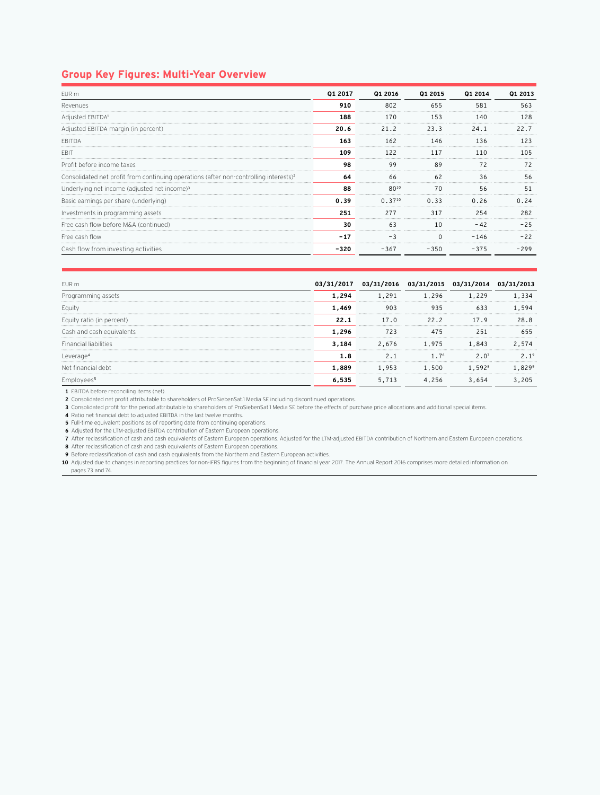## **Group Key Figures: Multi-Year Overview**

| FUR <sub>m</sub>                                                                                  | Q1 2017 | Q1 2016     | Q1 2015 | 01 2014                       | 01 2013 |
|---------------------------------------------------------------------------------------------------|---------|-------------|---------|-------------------------------|---------|
| Revenues                                                                                          | 910     | 802         | 655     | 581                           | 563     |
| Adjusted EBITDA <sup>1</sup>                                                                      | 188     | 170         | 153     | 140                           | 128     |
| Adjusted EBITDA margin (in percent)                                                               | 20.6    | 21.2        | 23.3    | 24.1                          |         |
| <b>FBITDA</b>                                                                                     | 163     | 162         | 146     | 136                           |         |
| EBI1                                                                                              | 109     | 122         |         |                               | 1 ೧ 5   |
| Profit before income taxes                                                                        | 98      | 99          | 89      | 72                            | 72      |
| Consolidated net profit from continuing operations (after non-controlling interests) <sup>2</sup> | 64      | 66          | <br>62  | <br>36                        | 56      |
| Underlying net income (adjusted net income) <sup>3</sup>                                          | 88      | 8010        | 70      | 56                            | 51      |
| Basic earnings per share (underlying)                                                             | 0.39    | $0.37^{10}$ | 0.33    | 0.26                          | N 24    |
| Investments in programming assets                                                                 | 251     | 277         | 317     | 254                           | 282     |
| Free cash flow before M&A (continued)                                                             | 30      | 63          | 10      |                               |         |
| Free cash flow                                                                                    | $-17$   | - 3         |         | $-146$                        | $-22$   |
| Cash flow from investing activities                                                               | -320    | $-367$      | $-350$  | <b>************</b><br>$-375$ | -299    |

| FUR <sub>m</sub>             | 03/31/2017 | 03/31/2016 03/31/2015 03/31/2014 |                  |                    | 03/31<br>2013 |
|------------------------------|------------|----------------------------------|------------------|--------------------|---------------|
| Programming assets           | 1.294      | L.291                            | 1,296            | 1.229              | .334          |
| <b>Equity</b>                | 1.469      |                                  | 935              |                    | 594           |
| Equity ratio (in percent)    | 22.1       | 17.0                             | 22.2             | 17.9               | 28. R         |
| Cash and cash equivalents    | 1,296      | <br>723                          |                  |                    |               |
| <b>Financial liabilities</b> | 3.184      | 2.676                            | 1,975            | 1,843              | 2.574         |
| Leverage                     | L.8        | 2.1                              | 1.7 <sup>6</sup> | 2.0 <sup>7</sup>   |               |
| Net financial debt           | 1.889      | 1,953                            | 1,500            | 1.592 <sup>8</sup> |               |
|                              | 6.535      | 5.713                            | 4,256            | 3.654              | . 205         |
|                              |            |                                  |                  |                    |               |

**1** EBITDA before reconciling items (net).

**2** Consolidated net profit attributable to shareholders of ProSiebenSat.1 Media SE including discontinued operations.

**3** Consolidated profit for the period attributable to shareholders of ProSiebenSat.1 Media SE before the effects of purchase price allocations and additional special items.

**4** Ratio net financial debt to adjusted EBITDA in the last twelve months.

**5** Full-time equivalent positions as of reporting date from continuing operations.

**6** Adjusted for the LTM-adjusted EBITDA contribution of Eastern European operations.

**7** After reclassification of cash and cash equivalents of Eastern European operations. Adjusted for the LTM-adjusted EBITDA contribution of Northern and Eastern European operations.

**8** After reclassification of cash and cash equivalents of Eastern European operations.

**9** Before reclassification of cash and cash equivalents from the Northern and Eastern European activities.

**10** Adjusted due to changes in reporting practices for non-IFRS figures from the beginning of financial year 2017. The Annual Report 2016 comprises more detailed information on pages 73 and 74.